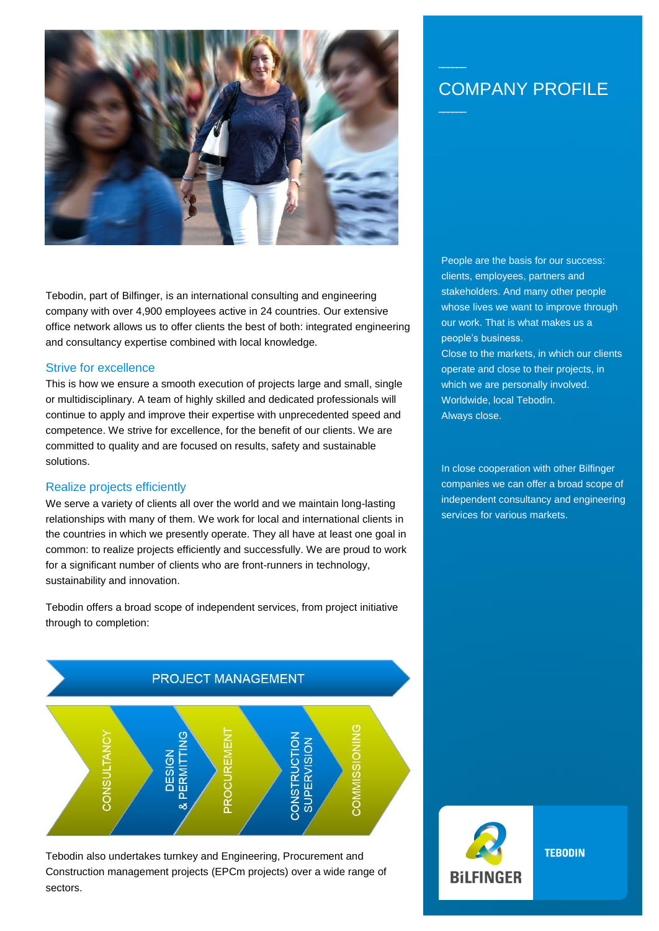

Tebodin, part of Bilfinger, is an international consulting and engineering company with over 4,900 employees active in 24 countries. Our extensive office network allows us to offer clients the best of both: integrated engineering and consultancy expertise combined with local knowledge.

## Strive for excellence

This is how we ensure a smooth execution of projects large and small, single or multidisciplinary. A team of highly skilled and dedicated professionals will continue to apply and improve their expertise with unprecedented speed and competence. We strive for excellence, for the benefit of our clients. We are committed to quality and are focused on results, safety and sustainable solutions.

# Realize projects efficiently

We serve a variety of clients all over the world and we maintain long-lasting relationships with many of them. We work for local and international clients in the countries in which we presently operate. They all have at least one goal in common: to realize projects efficiently and successfully. We are proud to work for a significant number of clients who are front-runners in technology, sustainability and innovation.

Tebodin offers a broad scope of independent services, from project initiative through to completion:



Tebodin also undertakes turnkey and Engineering, Procurement and Construction management projects (EPCm projects) over a wide range of sectors.

# COMPANY PROFILE

People are the basis for our success: clients, employees, partners and stakeholders. And many other people whose lives we want to improve through our work. That is what makes us a people's business. Close to the markets, in which our clients operate and close to their projects, in which we are personally involved. Worldwide, local Tebodin. Always close.

In close cooperation with other Bilfinger companies we can offer a broad scope of independent consultancy and engineering services for various markets.



**TEBODIN**